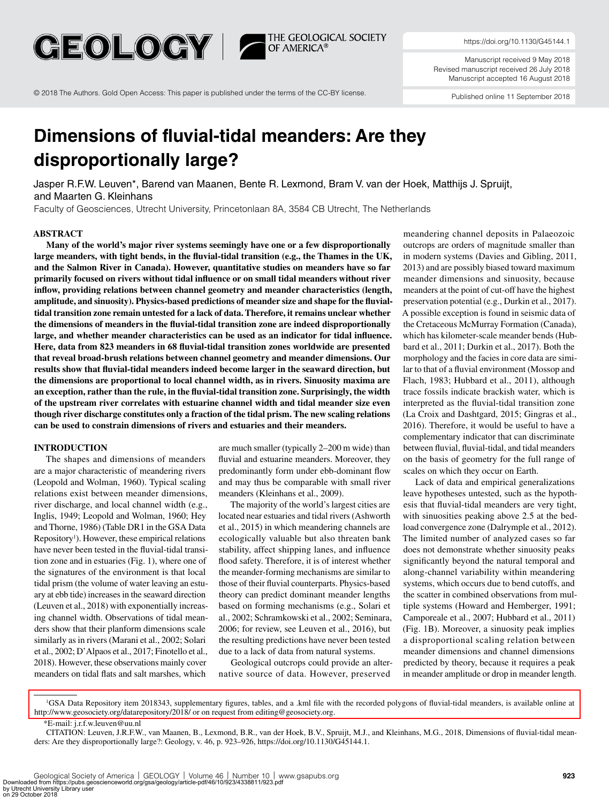

THE GEOLOGICAL SOCIETY<br>OF AMERICA®

[https://doi.org/10.1130/G45144.1](https://doi.org/10.1130/G45144.1 )

Manuscript received 9 May 2018 Revised manuscript received 26 July 2018 Manuscript accepted 16 August 2018

Published online 11 September 2018 [© 2018 The Authors. Gold Open Access: This paper is published under the terms of the CC-BY license.](http://www.geosociety.org/gsa/pubs/openAccess/)

# **Dimensions of fluvial-tidal meanders: Are they disproportionally large?**

Jasper R.F.W. Leuven\*, Barend van Maanen, Bente R. Lexmond, Bram V. van der Hoek, Matthijs J. Spruijt, and Maarten G. Kleinhans

Faculty of Geosciences, Utrecht University, Princetonlaan 8A, 3584 CB Utrecht, The Netherlands

#### **ABSTRACT**

**Many of the world's major river systems seemingly have one or a few disproportionally large meanders, with tight bends, in the fluvial-tidal transition (e.g., the Thames in the UK, and the Salmon River in Canada). However, quantitative studies on meanders have so far primarily focused on rivers without tidal influence or on small tidal meanders without river inflow, providing relations between channel geometry and meander characteristics (length, amplitude, and sinuosity). Physics-based predictions of meander size and shape for the fluvialtidal transition zone remain untested for a lack of data. Therefore, it remains unclear whether the dimensions of meanders in the fluvial-tidal transition zone are indeed disproportionally large, and whether meander characteristics can be used as an indicator for tidal influence. Here, data from 823 meanders in 68 fluvial-tidal transition zones worldwide are presented that reveal broad-brush relations between channel geometry and meander dimensions. Our results show that fluvial-tidal meanders indeed become larger in the seaward direction, but the dimensions are proportional to local channel width, as in rivers. Sinuosity maxima are an exception, rather than the rule, in the fluvial-tidal transition zone. Surprisingly, the width of the upstream river correlates with estuarine channel width and tidal meander size even though river discharge constitutes only a fraction of the tidal prism. The new scaling relations can be used to constrain dimensions of rivers and estuaries and their meanders.**

# **INTRODUCTION**

The shapes and dimensions of meanders are a major characteristic of meandering rivers (Leopold and Wolman, 1960). Typical scaling relations exist between meander dimensions, river discharge, and local channel width (e.g., Inglis, 1949; Leopold and Wolman, 1960; Hey and Thorne, 1986) (Table DR1 in the GSA Data Repository<sup>1</sup>). However, these empirical relations have never been tested in the fluvial-tidal transition zone and in estuaries (Fig. 1), where one of the signatures of the environment is that local tidal prism (the volume of water leaving an estuary at ebb tide) increases in the seaward direction (Leuven et al., 2018) with exponentially increasing channel width. Observations of tidal meanders show that their planform dimensions scale similarly as in rivers (Marani et al., 2002; Solari et al., 2002; D'Alpaos et al., 2017; Finotello et al., 2018). However, these observations mainly cover meanders on tidal flats and salt marshes, which

are much smaller (typically 2–200 m wide) than fluvial and estuarine meanders. Moreover, they predominantly form under ebb-dominant flow and may thus be comparable with small river meanders (Kleinhans et al., 2009).

The majority of the world's largest cities are located near estuaries and tidal rivers (Ashworth et al., 2015) in which meandering channels are ecologically valuable but also threaten bank stability, affect shipping lanes, and influence flood safety. Therefore, it is of interest whether the meander-forming mechanisms are similar to those of their fluvial counterparts. Physics-based theory can predict dominant meander lengths based on forming mechanisms (e.g., Solari et al., 2002; Schramkowski et al., 2002; Seminara, 2006; for review, see Leuven et al., 2016), but the resulting predictions have never been tested due to a lack of data from natural systems.

Geological outcrops could provide an alternative source of data. However, preserved

meandering channel deposits in Palaeozoic outcrops are orders of magnitude smaller than in modern systems (Davies and Gibling, 2011, 2013) and are possibly biased toward maximum meander dimensions and sinuosity, because meanders at the point of cut-off have the highest preservation potential (e.g., Durkin et al., 2017). A possible exception is found in seismic data of the Cretaceous McMurray Formation (Canada), which has kilometer-scale meander bends (Hubbard et al., 2011; Durkin et al., 2017). Both the morphology and the facies in core data are similar to that of a fluvial environment (Mossop and Flach, 1983; Hubbard et al., 2011), although trace fossils indicate brackish water, which is interpreted as the fluvial-tidal transition zone (La Croix and Dashtgard, 2015; Gingras et al., 2016). Therefore, it would be useful to have a complementary indicator that can discriminate between fluvial, fluvial-tidal, and tidal meanders on the basis of geometry for the full range of scales on which they occur on Earth.

Lack of data and empirical generalizations leave hypotheses untested, such as the hypothesis that fluvial-tidal meanders are very tight, with sinuosities peaking above 2.5 at the bedload convergence zone (Dalrymple et al., 2012). The limited number of analyzed cases so far does not demonstrate whether sinuosity peaks significantly beyond the natural temporal and along-channel variability within meandering systems, which occurs due to bend cutoffs, and the scatter in combined observations from multiple systems (Howard and Hemberger, 1991; Camporeale et al., 2007; Hubbard et al., 2011) (Fig. 1B). Moreover, a sinuosity peak implies a disproportional scaling relation between meander dimensions and channel dimensions predicted by theory, because it requires a peak in meander amplitude or drop in meander length.

[<sup>1</sup>GSA Data Repository item 2018343, supplementary figures, tables, and a .kml file with the recorded polygons of fluvial-tidal meanders, is available online at](http://www.geosociety.org/datarepository/2018/)  http://www.geosociety.org/datarepository/2018/ or on request from editing@geosociety.org.

<sup>\*</sup>E-mail: [j.r.f.w.leuven@uu.nl](mailto:j.r.f.w.leuven%40uu.nl?subject=)

CITATION: Leuven, J.R.F.W., van Maanen, B., Lexmond, B.R., van der Hoek, B.V., Spruijt, M.J., and Kleinhans, M.G., 2018, Dimensions of fluvial-tidal meanders: Are they disproportionally large?: Geology, v. 46, p. 923–926, https://doi.org/10.1130/G45144.1.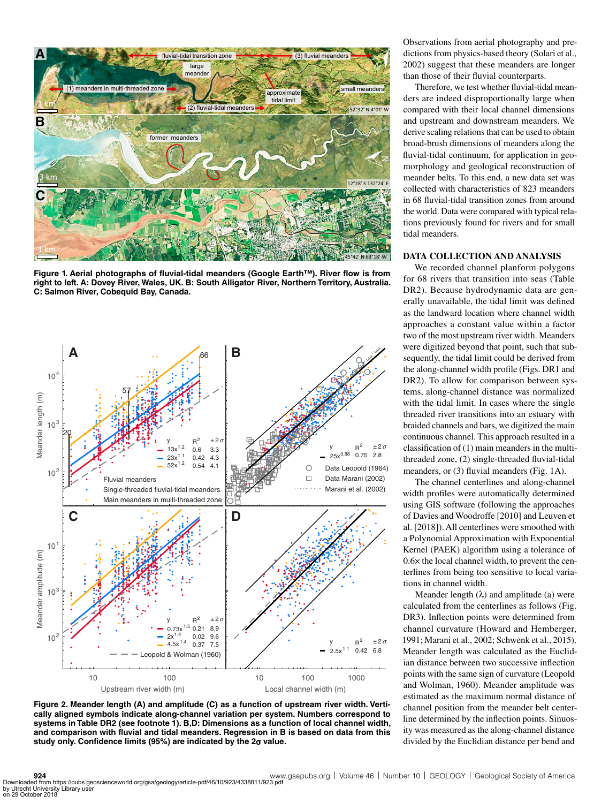

**Figure 1. Aerial photographs of fluvial-tidal meanders (Google Earth™). River flow is from right to left. A: Dovey River, Wales, UK. B: South Alligator River, Northern Territory, Australia. C: Salmon River, Cobequid Bay, Canada.**



**Figure 2. Meander length (A) and amplitude (C) as a function of upstream river width. Vertically aligned symbols indicate along-channel variation per system. Numbers correspond to systems in Table DR2 (see footnote 1). B,D: Dimensions as a function of local channel width, and comparison with fluvial and tidal meanders. Regression in B is based on data from this study only. Confidence limits (95%) are indicated by the 2**σ **value.**

Observations from aerial photography and predictions from physics-based theory (Solari et al., 2002) suggest that these meanders are longer than those of their fluvial counterparts.

Therefore, we test whether fluvial-tidal meanders are indeed disproportionally large when compared with their local channel dimensions and upstream and downstream meanders. We derive scaling relations that can be used to obtain broad-brush dimensions of meanders along the fluvial-tidal continuum, for application in geomorphology and geological reconstruction of meander belts. To this end, a new data set was collected with characteristics of 823 meanders in 68 fluvial-tidal transition zones from around the world. Data were compared with typical relations previously found for rivers and for small tidal meanders.

# **DATA COLLECTION AND ANALYSIS**

We recorded channel planform polygons for 68 rivers that transition into seas (Table DR2). Because hydrodynamic data are generally unavailable, the tidal limit was defined as the landward location where channel width approaches a constant value within a factor two of the most upstream river width. Meanders were digitized beyond that point, such that subsequently, the tidal limit could be derived from the along-channel width profile (Figs. DR1 and DR2). To allow for comparison between systems, along-channel distance was normalized with the tidal limit. In cases where the single threaded river transitions into an estuary with braided channels and bars, we digitized the main continuous channel. This approach resulted in a classification of (1) main meanders in the multithreaded zone, (2) single-threaded fluvial-tidal meanders, or (3) fluvial meanders (Fig. 1A).

The channel centerlines and along-channel width profiles were automatically determined using GIS software (following the approaches of Davies and Woodroffe [2010] and Leuven et al. [2018]). All centerlines were smoothed with a Polynomial Approximation with Exponential Kernel (PAEK) algorithm using a tolerance of 0.6× the local channel width, to prevent the centerlines from being too sensitive to local variations in channel width.

Meander length  $(\lambda)$  and amplitude (a) were calculated from the centerlines as follows (Fig. DR3). Inflection points were determined from channel curvature (Howard and Hemberger, 1991; Marani et al., 2002; Schwenk et al., 2015). Meander length was calculated as the Euclidian distance between two successive inflection points with the same sign of curvature (Leopold and Wolman, 1960). Meander amplitude was estimated as the maximum normal distance of channel position from the meander belt centerline determined by the inflection points. Sinuosity was measured as the along-channel distance divided by the Euclidian distance per bend and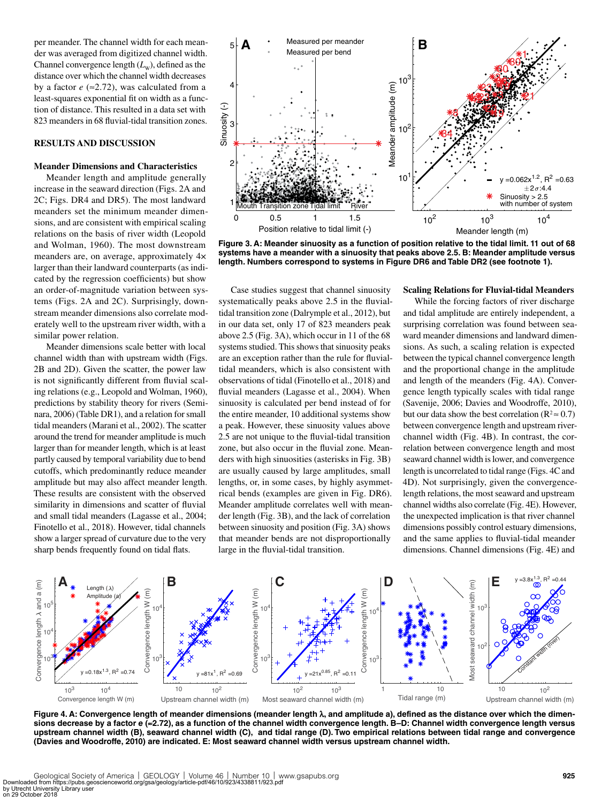per meander. The channel width for each meander was averaged from digitized channel width. Channel convergence length  $(L_w)$ , defined as the distance over which the channel width decreases by a factor  $e \approx 2.72$ ), was calculated from a least-squares exponential fit on width as a function of distance. This resulted in a data set with 823 meanders in 68 fluvial-tidal transition zones.

# **RESULTS AND DISCUSSION**

## **Meander Dimensions and Characteristics**

Meander length and amplitude generally increase in the seaward direction (Figs. 2A and 2C; Figs. DR4 and DR5). The most landward meanders set the minimum meander dimensions, and are consistent with empirical scaling relations on the basis of river width (Leopold and Wolman, 1960). The most downstream meanders are, on average, approximately 4× larger than their landward counterparts (as indicated by the regression coefficients) but show an order-of-magnitude variation between systems (Figs. 2A and 2C). Surprisingly, downstream meander dimensions also correlate moderately well to the upstream river width, with a similar power relation.

Meander dimensions scale better with local channel width than with upstream width (Figs. 2B and 2D). Given the scatter, the power law is not significantly different from fluvial scaling relations (e.g., Leopold and Wolman, 1960), predictions by stability theory for rivers (Seminara, 2006) (Table DR1), and a relation for small tidal meanders (Marani et al., 2002). The scatter around the trend for meander amplitude is much larger than for meander length, which is at least partly caused by temporal variability due to bend cutoffs, which predominantly reduce meander amplitude but may also affect meander length. These results are consistent with the observed similarity in dimensions and scatter of fluvial and small tidal meanders (Lagasse et al., 2004; Finotello et al., 2018). However, tidal channels show a larger spread of curvature due to the very sharp bends frequently found on tidal flats.



**Figure 3. A: Meander sinuosity as a function of position relative to the tidal limit. 11 out of 68 systems have a meander with a sinuosity that peaks above 2.5. B: Meander amplitude versus length. Numbers correspond to systems in Figure DR6 and Table DR2 (see footnote 1).**

Case studies suggest that channel sinuosity systematically peaks above 2.5 in the fluvialtidal transition zone (Dalrymple et al., 2012), but in our data set, only 17 of 823 meanders peak above 2.5 (Fig. 3A), which occur in 11 of the 68 systems studied. This shows that sinuosity peaks are an exception rather than the rule for fluvialtidal meanders, which is also consistent with observations of tidal (Finotello et al., 2018) and fluvial meanders (Lagasse et al., 2004). When sinuosity is calculated per bend instead of for the entire meander, 10 additional systems show a peak. However, these sinuosity values above 2.5 are not unique to the fluvial-tidal transition zone, but also occur in the fluvial zone. Meanders with high sinuosities (asterisks in Fig. 3B) are usually caused by large amplitudes, small lengths, or, in some cases, by highly asymmetrical bends (examples are given in Fig. DR6). Meander amplitude correlates well with meander length (Fig. 3B), and the lack of correlation between sinuosity and position (Fig. 3A) shows that meander bends are not disproportionally large in the fluvial-tidal transition.

#### **Scaling Relations for Fluvial-tidal Meanders**

While the forcing factors of river discharge and tidal amplitude are entirely independent, a surprising correlation was found between seaward meander dimensions and landward dimensions. As such, a scaling relation is expected between the typical channel convergence length and the proportional change in the amplitude and length of the meanders (Fig. 4A). Convergence length typically scales with tidal range (Savenije, 2006; Davies and Woodroffe, 2010), but our data show the best correlation ( $R^2 \approx 0.7$ ) between convergence length and upstream riverchannel width (Fig. 4B). In contrast, the correlation between convergence length and most seaward channel width is lower, and convergence length is uncorrelated to tidal range (Figs. 4C and 4D). Not surprisingly, given the convergencelength relations, the most seaward and upstream channel widths also correlate (Fig. 4E). However, the unexpected implication is that river channel dimensions possibly control estuary dimensions, and the same applies to fluvial-tidal meander dimensions. Channel dimensions (Fig. 4E) and



**Figure 4. A: Convergence length of meander dimensions (meander length** λ**, and amplitude a), defined as the distance over which the dimensions decrease by a factor** *e* **(**≈**2.72), as a function of the channel width convergence length. B–D: Channel width convergence length versus upstream channel width (B), seaward channel width (C), and tidal range (D). Two empirical relations between tidal range and convergence (Davies and Woodroffe, 2010) are indicated. E: Most seaward channel width versus upstream channel width.**